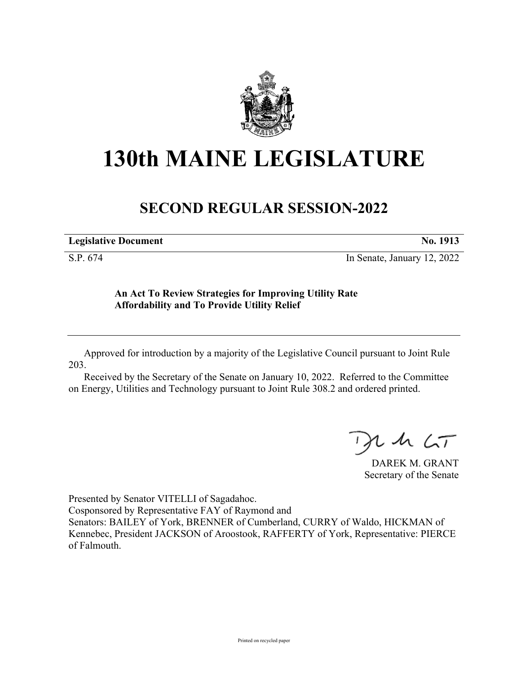

## **130th MAINE LEGISLATURE**

## **SECOND REGULAR SESSION-2022**

| <b>Legislative Document</b> | No. 1913 |
|-----------------------------|----------|
|                             |          |

S.P. 674 In Senate, January 12, 2022

## **An Act To Review Strategies for Improving Utility Rate Affordability and To Provide Utility Relief**

Approved for introduction by a majority of the Legislative Council pursuant to Joint Rule 203.

Received by the Secretary of the Senate on January 10, 2022. Referred to the Committee on Energy, Utilities and Technology pursuant to Joint Rule 308.2 and ordered printed.

, in  $\zeta$ T

DAREK M. GRANT Secretary of the Senate

Presented by Senator VITELLI of Sagadahoc.

Cosponsored by Representative FAY of Raymond and

Senators: BAILEY of York, BRENNER of Cumberland, CURRY of Waldo, HICKMAN of Kennebec, President JACKSON of Aroostook, RAFFERTY of York, Representative: PIERCE of Falmouth.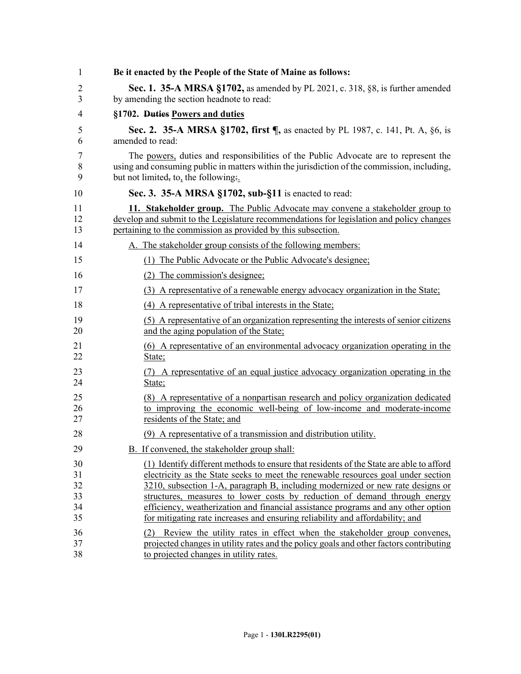| 1  | Be it enacted by the People of the State of Maine as follows:                               |
|----|---------------------------------------------------------------------------------------------|
| 2  | Sec. 1. 35-A MRSA §1702, as amended by PL 2021, c. 318, §8, is further amended              |
| 3  | by amending the section headnote to read:                                                   |
| 4  | §1702. Duties Powers and duties                                                             |
| 5  | Sec. 2. 35-A MRSA §1702, first ¶, as enacted by PL 1987, c. 141, Pt. A, §6, is              |
| 6  | amended to read:                                                                            |
| 7  | The powers, duties and responsibilities of the Public Advocate are to represent the         |
| 8  | using and consuming public in matters within the jurisdiction of the commission, including, |
| 9  | but not limited, to, the following.                                                         |
| 10 | Sec. 3. 35-A MRSA §1702, sub-§11 is enacted to read:                                        |
| 11 | 11. Stakeholder group. The Public Advocate may convene a stakeholder group to               |
| 12 | develop and submit to the Legislature recommendations for legislation and policy changes    |
| 13 | pertaining to the commission as provided by this subsection.                                |
| 14 | A. The stakeholder group consists of the following members:                                 |
| 15 | (1) The Public Advocate or the Public Advocate's designee;                                  |
| 16 | (2) The commission's designee;                                                              |
| 17 | (3) A representative of a renewable energy advocacy organization in the State;              |
| 18 | (4) A representative of tribal interests in the State;                                      |
| 19 | (5) A representative of an organization representing the interests of senior citizens       |
| 20 | and the aging population of the State;                                                      |
| 21 | (6) A representative of an environmental advocacy organization operating in the             |
| 22 | State;                                                                                      |
| 23 | (7) A representative of an equal justice advocacy organization operating in the             |
| 24 | State;                                                                                      |
| 25 | (8) A representative of a nonpartisan research and policy organization dedicated            |
| 26 | to improving the economic well-being of low-income and moderate-income                      |
| 27 | residents of the State; and                                                                 |
| 28 | (9) A representative of a transmission and distribution utility.                            |
| 29 | B. If convened, the stakeholder group shall:                                                |
| 30 | (1) Identify different methods to ensure that residents of the State are able to afford     |
| 31 | electricity as the State seeks to meet the renewable resources goal under section           |
| 32 | 3210, subsection 1-A, paragraph B, including modernized or new rate designs or              |
| 33 | structures, measures to lower costs by reduction of demand through energy                   |
| 34 | efficiency, weatherization and financial assistance programs and any other option           |
| 35 | for mitigating rate increases and ensuring reliability and affordability; and               |
| 36 | (2) Review the utility rates in effect when the stakeholder group convenes,                 |
| 37 | projected changes in utility rates and the policy goals and other factors contributing      |
| 38 | to projected changes in utility rates.                                                      |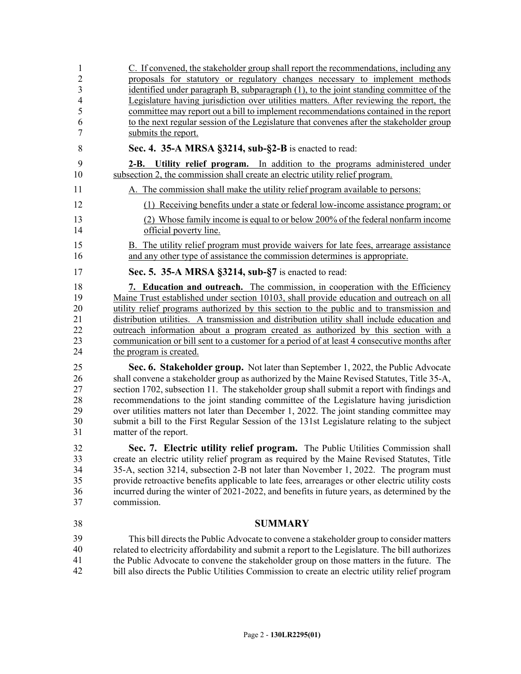1 C. If convened, the stakeholder group shall report the recommendations, including any 2 proposals for statutory or regulatory changes necessary to implement methods 3 identified under paragraph B, subparagraph (1), to the joint standing committee of the 4 Legislature having jurisdiction over utilities matters. After reviewing the report, the 5 committee may report out a bill to implement recommendations contained in the report 6 to the next regular session of the Legislature that convenes after the stakeholder group 7 submits the report. 8 **Sec. 4. 35-A MRSA §3214, sub-§2-B** is enacted to read: 9 **2-B. Utility relief program.** In addition to the programs administered under 10 subsection 2, the commission shall create an electric utility relief program. 11 A. The commission shall make the utility relief program available to persons: 12 (1) Receiving benefits under a state or federal low-income assistance program; or 13 (2) Whose family income is equal to or below 200% of the federal nonfarm income 14 official poverty line. 15 B. The utility relief program must provide waivers for late fees, arrearage assistance 16 and any other type of assistance the commission determines is appropriate. 17 **Sec. 5. 35-A MRSA §3214, sub-§7** is enacted to read: 18 **7. Education and outreach.** The commission, in cooperation with the Efficiency 19 Maine Trust established under section 10103, shall provide education and outreach on all 20 utility relief programs authorized by this section to the public and to transmission and 21 distribution utilities. A transmission and distribution utility shall include education and 22 outreach information about a program created as authorized by this section with a 23 communication or bill sent to a customer for a period of at least 4 consecutive months after 24 the program is created. 25 **Sec. 6. Stakeholder group.** Not later than September 1, 2022, the Public Advocate 26 shall convene a stakeholder group as authorized by the Maine Revised Statutes, Title 35-A, 27 section 1702, subsection 11. The stakeholder group shall submit a report with findings and 28 recommendations to the joint standing committee of the Legislature having jurisdiction 29 over utilities matters not later than December 1, 2022. The joint standing committee may 30 submit a bill to the First Regular Session of the 131st Legislature relating to the subject 31 matter of the report. 32 **Sec. 7. Electric utility relief program.** The Public Utilities Commission shall 33 create an electric utility relief program as required by the Maine Revised Statutes, Title 34 35-A, section 3214, subsection 2-B not later than November 1, 2022. The program must 35 provide retroactive benefits applicable to late fees, arrearages or other electric utility costs 36 incurred during the winter of 2021-2022, and benefits in future years, as determined by the 37 commission. 38 **SUMMARY** This bill directs the Public Advocate to convene a stakeholder group to consider matters 40 related to electricity affordability and submit a report to the Legislature. The bill authorizes the Public Advocate to convene the stakeholder group on those matters in the future. The bill also directs the Public Utilities Commission to create an electric utility relief program 39 40 41 42